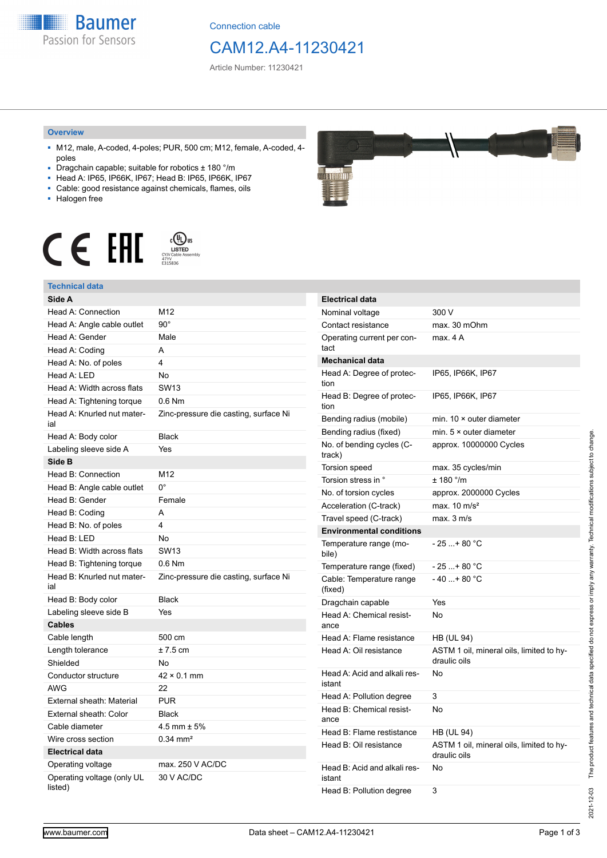**Baumer** Passion for Sensors

Connection cable

## CAM12.A4-11230421

Article Number: 11230421

#### **Overview**

- M12, male, A-coded, 4-poles; PUR, 500 cm; M12, female, A-coded, 4 poles
- Dragchain capable; suitable for robotics ± 180 °/m
- Head A: IP65, IP66K, IP67; Head B: IP65, IP66K, IP67
- Cable: good resistance against chemicals, flames, oils
- Halogen free



### **Technical data**

| Side A                                |                                       |
|---------------------------------------|---------------------------------------|
| Head A: Connection                    | M12                                   |
| Head A: Angle cable outlet            | $90^{\circ}$                          |
| Head A: Gender                        | Male                                  |
| Head A: Coding                        | A                                     |
| Head A: No. of poles                  | 4                                     |
| Head A: LED                           | No                                    |
| Head A: Width across flats            | <b>SW13</b>                           |
| Head A: Tightening torque             | $0.6$ Nm                              |
| Head A: Knurled nut mater-<br>ial     | Zinc-pressure die casting, surface Ni |
| Head A: Body color                    | <b>Black</b>                          |
| Labeling sleeve side A                | Yes                                   |
| Side B                                |                                       |
| Head B: Connection                    | M12                                   |
| Head B: Angle cable outlet            | 0°                                    |
| Head B: Gender                        | Female                                |
| Head B: Coding                        | A                                     |
| Head B: No. of poles                  | 4                                     |
| Head B: LED                           | <b>No</b>                             |
| Head B: Width across flats            | <b>SW13</b>                           |
| Head B: Tightening torque             | $0.6$ Nm                              |
| Head B: Knurled nut mater-<br>ial     | Zinc-pressure die casting, surface Ni |
| Head B: Body color                    | <b>Black</b>                          |
| Labeling sleeve side B                | Yes                                   |
| Cables                                |                                       |
| Cable length                          | 500 cm                                |
| Length tolerance                      | $±7.5$ cm                             |
| Shielded                              | No                                    |
| Conductor structure                   | $42 \times 0.1$ mm                    |
| <b>AWG</b>                            | 22                                    |
| External sheath: Material             | <b>PUR</b>                            |
| External sheath: Color                | <b>Black</b>                          |
| Cable diameter                        | $4.5$ mm $\pm 5\%$                    |
| Wire cross section                    | $0.34 \text{ mm}^2$                   |
| <b>Electrical data</b>                |                                       |
| Operating voltage                     | max. 250 V AC/DC                      |
| Operating voltage (only UL<br>listed) | 30 V AC/DC                            |



| <b>Electrical data</b>                 |                                                          |
|----------------------------------------|----------------------------------------------------------|
| Nominal voltage                        | 300 V                                                    |
| Contact resistance                     | max. 30 mOhm                                             |
| Operating current per con-<br>tact     | max. 4 A                                                 |
| <b>Mechanical data</b>                 |                                                          |
| Head A: Degree of protec-<br>tion      | IP65, IP66K, IP67                                        |
| Head B: Degree of protec-<br>tion      | IP65, IP66K, IP67                                        |
| Bending radius (mobile)                | min. $10 \times$ outer diameter                          |
| Bending radius (fixed)                 | min. $5 \times$ outer diameter                           |
| No. of bending cycles (C-<br>track)    | approx. 10000000 Cycles                                  |
| <b>Torsion speed</b>                   | max. 35 cycles/min                                       |
| Torsion stress in °                    | $± 180$ °/m                                              |
| No. of torsion cycles                  | approx. 2000000 Cycles                                   |
| Acceleration (C-track)                 | max. $10 \text{ m/s}^2$                                  |
| Travel speed (C-track)                 | max. 3 m/s                                               |
| <b>Environmental conditions</b>        |                                                          |
| Temperature range (mo-<br>bile)        | - 25 + 80 °C                                             |
| Temperature range (fixed)              | $-25+80 °C$                                              |
| Cable: Temperature range<br>(fixed)    | $-40+80 °C$                                              |
| Dragchain capable                      | Yes                                                      |
| Head A: Chemical resist-<br>ance       | No                                                       |
| Head A: Flame resistance               | <b>HB (UL 94)</b>                                        |
| Head A: Oil resistance                 | ASTM 1 oil, mineral oils, limited to hy-<br>draulic oils |
| Head A: Acid and alkali res-<br>istant | No                                                       |
| Head A: Pollution degree               | 3                                                        |
| Head B: Chemical resist-<br>ance       | No                                                       |
| Head B: Flame restistance              | HB (UL 94)                                               |
| Head B: Oil resistance                 | ASTM 1 oil, mineral oils, limited to hy-<br>draulic oils |
| Head B: Acid and alkali res-<br>istant | No                                                       |
| Head B: Pollution degree               | 3                                                        |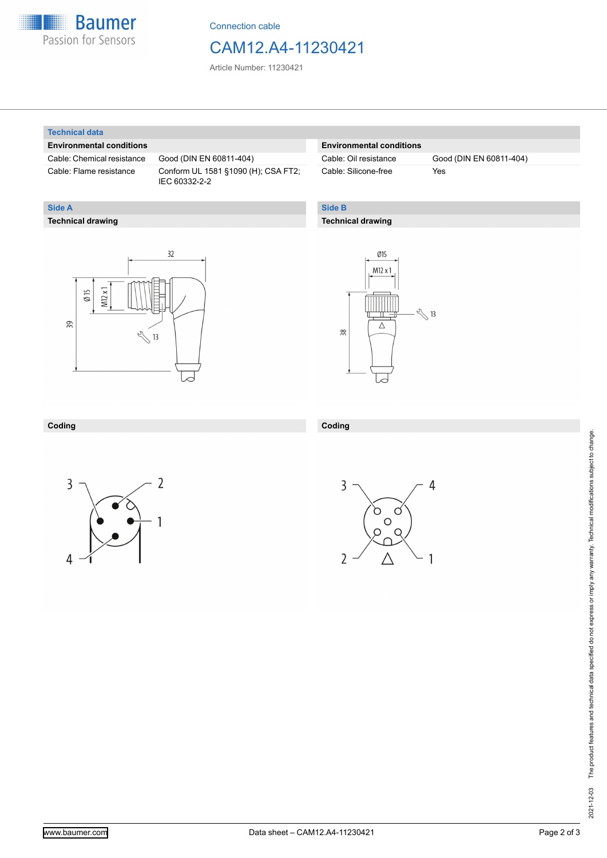

Connection cable

## CAM12.A4-11230421

Article Number: 11230421

#### **Technical data**

**Technical drawing**

**Side A**

#### **Environmental conditions**

Cable: Chemical resistance Good (DIN EN 60811-404)

Cable: Flame resistance Conform UL 1581 §1090 (H); CSA FT2; IEC 60332-2-2

#### **Environmental conditions**

Cable: Silicone-free Yes

Cable: Oil resistance Good (DIN EN 60811-404)

#### **Side B**

**Coding**

#### **Technical drawing**

# $32$  $M12x1$  $\emptyset$  15 39  $\sqrt[3]{13}$



#### **Coding**